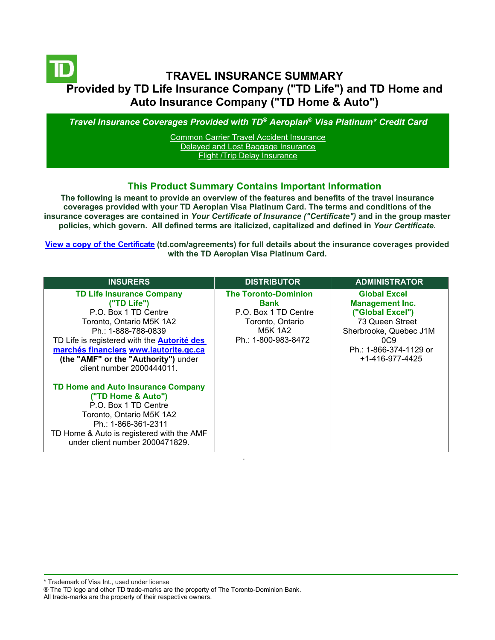# **TRAVEL INSURANCE SUMMARY Provided by TD Life Insurance Company ("TD Life") and TD Home and Auto Insurance Company ("TD Home & Auto")**

*Travel Insurance Coverages Provided with TD® Aeroplan® Visa Platinum\* Credit Card*

[Common Carrier Travel Accident Insurance](#page-3-0) [Delayed and Lost Baggage Insurance](#page-4-0) **[Flight /Trip Delay Insurance](#page-5-0)** 

## **This Product Summary Contains Important Information**

**The following is meant to provide an overview of the features and benefits of the travel insurance coverages provided with your TD Aeroplan Visa Platinum Card. The terms and conditions of the insurance coverages are contained in** *Your Certificate of Insurance ("Certificate")* **and in the group master policies, which govern. All defined terms are italicized, capitalized and defined in** *Your Certificate***.**

**[View a copy of the Certificate](https://www.td.com/ca/en/personal-banking/how-to/manage-my-credit-card/getting-started/?tdtab=4) (td.com/agreements) for full details about the insurance coverages provided with the TD Aeroplan Visa Platinum Card.** 

| <b>INSURERS</b>                                                                                                                                                                                                                                                                                 | <b>DISTRIBUTOR</b>                                                                                                       | <b>ADMINISTRATOR</b>                                                                                                                                                       |
|-------------------------------------------------------------------------------------------------------------------------------------------------------------------------------------------------------------------------------------------------------------------------------------------------|--------------------------------------------------------------------------------------------------------------------------|----------------------------------------------------------------------------------------------------------------------------------------------------------------------------|
| <b>TD Life Insurance Company</b><br>("TD Life")<br>P.O. Box 1 TD Centre<br>Toronto, Ontario M5K 1A2<br>Ph.: 1-888-788-0839<br>TD Life is registered with the <b>Autorité des</b><br>marchés financiers www.lautorite.qc.ca<br>(the "AMF" or the "Authority") under<br>client number 2000444011. | <b>The Toronto-Dominion</b><br>Bank<br>P.O. Box 1 TD Centre<br>Toronto, Ontario<br><b>M5K 1A2</b><br>Ph.: 1-800-983-8472 | <b>Global Excel</b><br><b>Management Inc.</b><br>("Global Excel")<br>73 Queen Street<br>Sherbrooke, Quebec J1M<br>0C9<br>Ph.: 1-866-374-1129 or<br>$+1 - 416 - 977 - 4425$ |
| <b>TD Home and Auto Insurance Company</b><br>("TD Home & Auto")<br>P.O. Box 1 TD Centre<br>Toronto, Ontario M5K 1A2<br>Ph.: 1-866-361-2311<br>TD Home & Auto is registered with the AMF<br>under client number 2000471829.                                                                      |                                                                                                                          |                                                                                                                                                                            |

.

\* Trademark of Visa Int., used under license

All trade-marks are the property of their respective owners.

<sup>®</sup> The TD logo and other TD trade-marks are the property of The Toronto-Dominion Bank.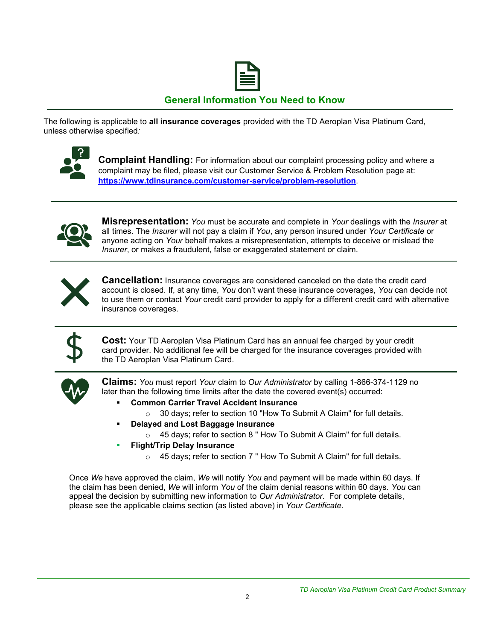

## **General Information You Need to Know**

The following is applicable to **all insurance coverages** provided with the TD Aeroplan Visa Platinum Card, unless otherwise specified*:*



**Complaint Handling:** For information about our complaint processing policy and where a complaint may be filed, please visit our Customer Service & Problem Resolution page at: **<https://www.tdinsurance.com/customer-service/problem-resolution>**.



**Misrepresentation:** *You* must be accurate and complete in *Your* dealings with the *Insurer* at all times. The *Insurer* will not pay a claim if *You*, any person insured under *Your Certificate* or anyone acting on *Your* behalf makes a misrepresentation, attempts to deceive or mislead the *Insurer*, or makes a fraudulent, false or exaggerated statement or claim.



**Cancellation:** Insurance coverages are considered canceled on the date the credit card account is closed. If, at any time, *You* don't want these insurance coverages, *You* can decide not to use them or contact *Your* credit card provider to apply for a different credit card with alternative insurance coverages.



**Cost:** Your TD Aeroplan Visa Platinum Card has an annual fee charged by your credit card provider. No additional fee will be charged for the insurance coverages provided with the TD Aeroplan Visa Platinum Card.



**Claims:** *You* must report *Your* claim to *Our Administrator* by calling 1-866-374-1129 no later than the following time limits after the date the covered event(s) occurred:

- **Common Carrier Travel Accident Insurance** 
	- o 30 days; refer to section 10 "How To Submit A Claim" for full details.
	- **Delayed and Lost Baggage Insurance** 
		- o 45 days; refer to section 8 " How To Submit A Claim" for full details.
- **Flight/Trip Delay Insurance** 
	- o 45 days; refer to section 7 " How To Submit A Claim" for full details.

Once *We* have approved the claim, *We* will notify *You* and payment will be made within 60 days. If the claim has been denied, *We* will inform *You* of the claim denial reasons within 60 days. *You* can appeal the decision by submitting new information to *Our Administrator*. For complete details, please see the applicable claims section (as listed above) in *Your Certificate.*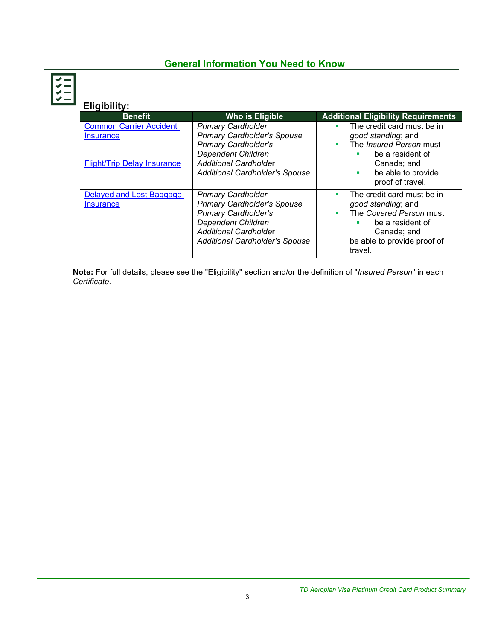## **General Information You Need to Know**

**Eligibility:**

| <b>Benefit</b>                                                                    | Who is Eligible                                                                                                                                                                                      | <b>Additional Eligibility Requirements</b>                                                                                                                              |
|-----------------------------------------------------------------------------------|------------------------------------------------------------------------------------------------------------------------------------------------------------------------------------------------------|-------------------------------------------------------------------------------------------------------------------------------------------------------------------------|
| <b>Common Carrier Accident</b><br>Insurance<br><b>Flight/Trip Delay Insurance</b> | <b>Primary Cardholder</b><br><b>Primary Cardholder's Spouse</b><br><b>Primary Cardholder's</b><br><b>Dependent Children</b><br><b>Additional Cardholder</b><br><b>Additional Cardholder's Spouse</b> | The credit card must be in<br>٠<br>good standing; and<br>The Insured Person must<br>٠<br>be a resident of<br>Canada: and<br>be able to provide<br>×<br>proof of travel. |
| Delayed and Lost Baggage<br><b>Insurance</b>                                      | <b>Primary Cardholder</b><br><b>Primary Cardholder's Spouse</b><br><b>Primary Cardholder's</b><br><b>Dependent Children</b><br><b>Additional Cardholder</b><br>Additional Cardholder's Spouse        | The credit card must be in<br>٠<br>good standing; and<br>The Covered Person must<br>٠<br>be a resident of<br>Canada; and<br>be able to provide proof of<br>travel.      |

**Note:** For full details, please see the "Eligibility" section and/or the definition of "*Insured Person*" in each *Certificate*.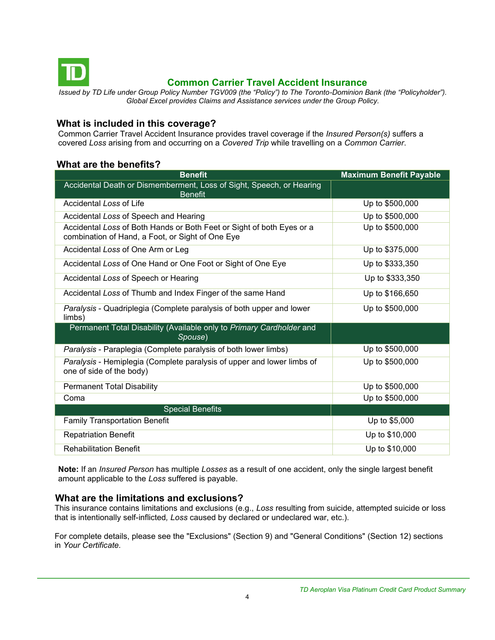<span id="page-3-0"></span>

## **Common Carrier Travel Accident Insurance**

*Issued by TD Life under Group Policy Number TGV009 (the "Policy") to The Toronto-Dominion Bank (the "Policyholder"). Global Excel provides Claims and Assistance services under the Group Policy.*

## **What is included in this coverage?**

Common Carrier Travel Accident Insurance provides travel coverage if the *Insured Person(s)* suffers a covered *Loss* arising from and occurring on a *Covered Trip* while travelling on a *Common Carrier*.

## **What are the benefits?**

| <b>Benefit</b>                                                                                                            | <b>Maximum Benefit Payable</b> |
|---------------------------------------------------------------------------------------------------------------------------|--------------------------------|
| Accidental Death or Dismemberment, Loss of Sight, Speech, or Hearing<br><b>Benefit</b>                                    |                                |
| Accidental Loss of Life                                                                                                   | Up to \$500,000                |
| Accidental Loss of Speech and Hearing                                                                                     | Up to \$500,000                |
| Accidental Loss of Both Hands or Both Feet or Sight of both Eyes or a<br>combination of Hand, a Foot, or Sight of One Eye | Up to \$500,000                |
| Accidental Loss of One Arm or Leg                                                                                         | Up to \$375,000                |
| Accidental Loss of One Hand or One Foot or Sight of One Eye                                                               | Up to \$333,350                |
| Accidental Loss of Speech or Hearing                                                                                      | Up to \$333,350                |
| Accidental Loss of Thumb and Index Finger of the same Hand                                                                | Up to \$166,650                |
| Paralysis - Quadriplegia (Complete paralysis of both upper and lower<br>limbs)                                            | Up to \$500,000                |
| Permanent Total Disability (Available only to Primary Cardholder and<br>Spouse)                                           |                                |
| Paralysis - Paraplegia (Complete paralysis of both lower limbs)                                                           | Up to \$500,000                |
| Paralysis - Hemiplegia (Complete paralysis of upper and lower limbs of<br>one of side of the body)                        | Up to \$500,000                |
| <b>Permanent Total Disability</b>                                                                                         | Up to \$500,000                |
| Coma                                                                                                                      | Up to \$500,000                |
| <b>Special Benefits</b>                                                                                                   |                                |
| <b>Family Transportation Benefit</b>                                                                                      | Up to \$5,000                  |
| <b>Repatriation Benefit</b>                                                                                               | Up to \$10,000                 |
| <b>Rehabilitation Benefit</b>                                                                                             | Up to \$10,000                 |

**Note:** If an *Insured Person* has multiple *Losses* as a result of one accident, only the single largest benefit amount applicable to the *Loss* suffered is payable.

## **What are the limitations and exclusions?**

This insurance contains limitations and exclusions (e.g., *Loss* resulting from suicide, attempted suicide or loss that is intentionally self-inflicted*, Loss* caused by declared or undeclared war, etc.).

For complete details, please see the "Exclusions" (Section 9) and "General Conditions" (Section 12) sections in *Your Certificate.*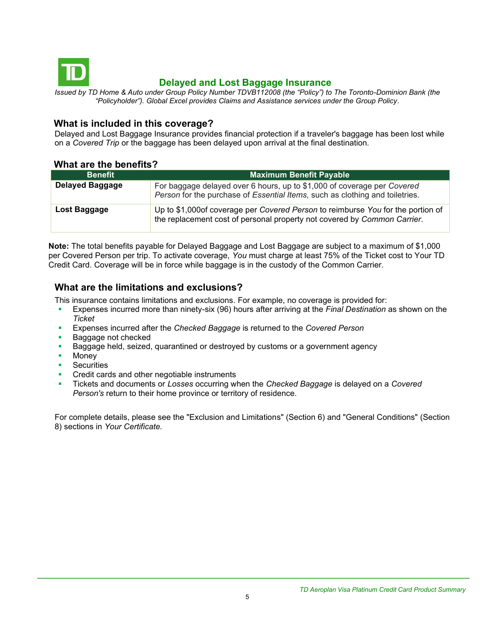<span id="page-4-0"></span>

## **Delayed and Lost Baggage Insurance**

*Issued by TD Home & Auto under Group Policy Number TDVB112008 (the "Policy") to The Toronto-Dominion Bank (the "Policyholder"). Global Excel provides Claims and Assistance services under the Group Policy.*

## **What is included in this coverage?**

Delayed and Lost Baggage Insurance provides financial protection if a traveler's baggage has been lost while on a *Covered Trip* or the baggage has been delayed upon arrival at the final destination.

## **What are the benefits?**

| <b>Benefit</b>         | <b>Maximum Benefit Payable</b>                                                                                                                              |
|------------------------|-------------------------------------------------------------------------------------------------------------------------------------------------------------|
| <b>Delayed Baggage</b> | For baggage delayed over 6 hours, up to \$1,000 of coverage per Covered<br>Person for the purchase of Essential Items, such as clothing and toiletries.     |
| Lost Baggage           | Up to \$1,000of coverage per Covered Person to reimburse You for the portion of<br>the replacement cost of personal property not covered by Common Carrier. |

**Note:** The total benefits payable for Delayed Baggage and Lost Baggage are subject to a maximum of \$1,000 per Covered Person per trip. To activate coverage, *You* must charge at least 75% of the Ticket cost to Your TD Credit Card. Coverage will be in force while baggage is in the custody of the Common Carrier.

## **What are the limitations and exclusions?**

This insurance contains limitations and exclusions. For example, no coverage is provided for:

- Expenses incurred more than ninety-six (96) hours after arriving at the *Final Destination* as shown on the *Ticket*
- Expenses incurred after the *Checked Baggage* is returned to the *Covered Person*
- Baggage not checked
- **EXED** Baggage held, seized, quarantined or destroyed by customs or a government agency
- Money
- **Securities**
- Credit cards and other negotiable instruments
- Tickets and documents or *Losses* occurring when the *Checked Baggage* is delayed on a *Covered Person's* return to their home province or territory of residence.

For complete details, please see the "Exclusion and Limitations" (Section 6) and "General Conditions" (Section 8) sections in *Your Certificate.*